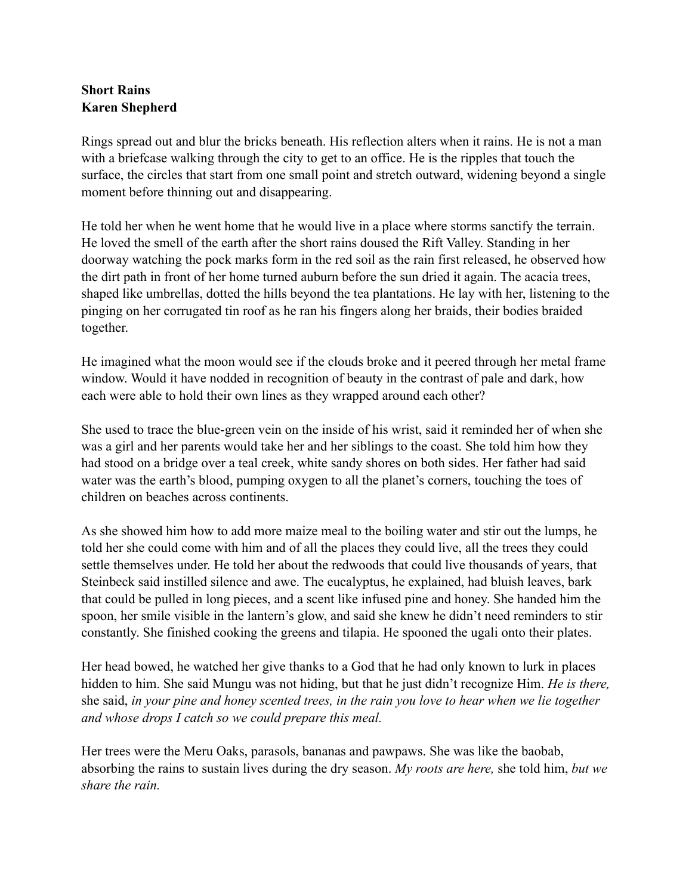## **Short Rains Karen Shepherd**

Rings spread out and blur the bricks beneath. His reflection alters when it rains. He is not a man with a briefcase walking through the city to get to an office. He is the ripples that touch the surface, the circles that start from one small point and stretch outward, widening beyond a single moment before thinning out and disappearing.

He told her when he went home that he would live in a place where storms sanctify the terrain. He loved the smell of the earth after the short rains doused the Rift Valley. Standing in her doorway watching the pock marks form in the red soil as the rain first released, he observed how the dirt path in front of her home turned auburn before the sun dried it again. The acacia trees, shaped like umbrellas, dotted the hills beyond the tea plantations. He lay with her, listening to the pinging on her corrugated tin roof as he ran his fingers along her braids, their bodies braided together.

He imagined what the moon would see if the clouds broke and it peered through her metal frame window. Would it have nodded in recognition of beauty in the contrast of pale and dark, how each were able to hold their own lines as they wrapped around each other?

She used to trace the blue-green vein on the inside of his wrist, said it reminded her of when she was a girl and her parents would take her and her siblings to the coast. She told him how they had stood on a bridge over a teal creek, white sandy shores on both sides. Her father had said water was the earth's blood, pumping oxygen to all the planet's corners, touching the toes of children on beaches across continents.

As she showed him how to add more maize meal to the boiling water and stir out the lumps, he told her she could come with him and of all the places they could live, all the trees they could settle themselves under. He told her about the redwoods that could live thousands of years, that Steinbeck said instilled silence and awe. The eucalyptus, he explained, had bluish leaves, bark that could be pulled in long pieces, and a scent like infused pine and honey. She handed him the spoon, her smile visible in the lantern's glow, and said she knew he didn't need reminders to stir constantly. She finished cooking the greens and tilapia. He spooned the ugali onto their plates.

Her head bowed, he watched her give thanks to a God that he had only known to lurk in places hidden to him. She said Mungu was not hiding, but that he just didn't recognize Him. *He is there,* she said, *in your pine and honey scented trees, in the rain you love to hear when we lie together and whose drops I catch so we could prepare this meal.* 

Her trees were the Meru Oaks, parasols, bananas and pawpaws. She was like the baobab, absorbing the rains to sustain lives during the dry season. *My roots are here,* she told him, *but we share the rain.*